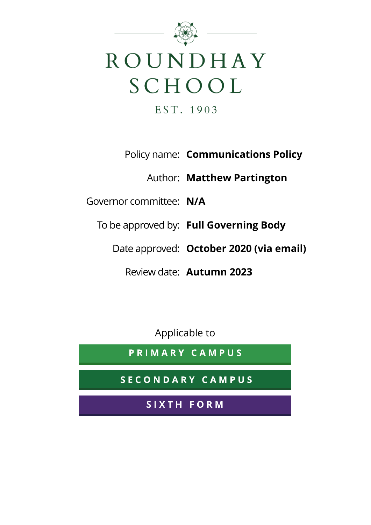

Policy name: **Communications Policy**

Author: **Matthew Partington**

Governor committee: **N/A**

To be approved by: **Full Governing Body**

Date approved: **October 2020 (via email)**

Review date: **Autumn 2023**

Applicable to

PRIMARY CAMPUS

**SECONDARY CAMPUS** 

SIXTH FORM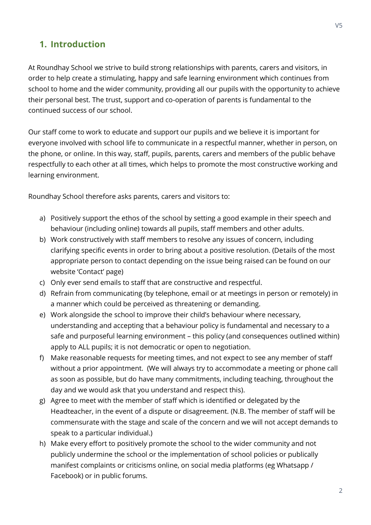### **1. Introduction**

At Roundhay School we strive to build strong relationships with parents, carers and visitors, in order to help create a stimulating, happy and safe learning environment which continues from school to home and the wider community, providing all our pupils with the opportunity to achieve their personal best. The trust, support and co-operation of parents is fundamental to the continued success of our school.

Our staff come to work to educate and support our pupils and we believe it is important for everyone involved with school life to communicate in a respectful manner, whether in person, on the phone, or online. In this way, staff, pupils, parents, carers and members of the public behave respectfully to each other at all times, which helps to promote the most constructive working and learning environment.

Roundhay School therefore asks parents, carers and visitors to:

- a) Positively support the ethos of the school by setting a good example in their speech and behaviour (including online) towards all pupils, staff members and other adults.
- b) Work constructively with staff members to resolve any issues of concern, including clarifying specific events in order to bring about a positive resolution. (Details of the most appropriate person to contact depending on the issue being raised can be found on our website 'Contact' page)
- c) Only ever send emails to staff that are constructive and respectful.
- d) Refrain from communicating (by telephone, email or at meetings in person or remotely) in a manner which could be perceived as threatening or demanding.
- e) Work alongside the school to improve their child's behaviour where necessary, understanding and accepting that a behaviour policy is fundamental and necessary to a safe and purposeful learning environment – this policy (and consequences outlined within) apply to ALL pupils; it is not democratic or open to negotiation.
- f) Make reasonable requests for meeting times, and not expect to see any member of staff without a prior appointment. (We will always try to accommodate a meeting or phone call as soon as possible, but do have many commitments, including teaching, throughout the day and we would ask that you understand and respect this).
- g) Agree to meet with the member of staff which is identified or delegated by the Headteacher, in the event of a dispute or disagreement. (N.B. The member of staff will be commensurate with the stage and scale of the concern and we will not accept demands to speak to a particular individual.)
- h) Make every effort to positively promote the school to the wider community and not publicly undermine the school or the implementation of school policies or publically manifest complaints or criticisms online, on social media platforms (eg Whatsapp / Facebook) or in public forums.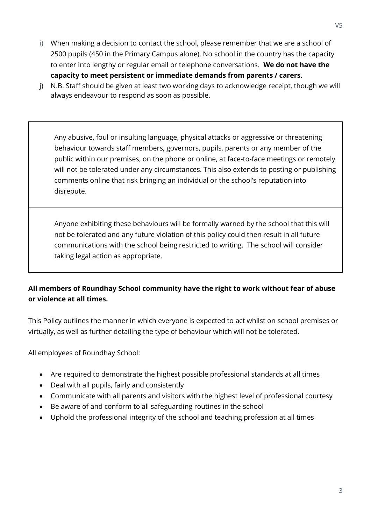- i) When making a decision to contact the school, please remember that we are a school of 2500 pupils (450 in the Primary Campus alone). No school in the country has the capacity to enter into lengthy or regular email or telephone conversations. **We do not have the capacity to meet persistent or immediate demands from parents / carers.**
- j) N.B. Staff should be given at least two working days to acknowledge receipt, though we will always endeavour to respond as soon as possible.

Any abusive, foul or insulting language, physical attacks or aggressive or threatening behaviour towards staff members, governors, pupils, parents or any member of the public within our premises, on the phone or online, at face-to-face meetings or remotely will not be tolerated under any circumstances. This also extends to posting or publishing comments online that risk bringing an individual or the school's reputation into disrepute.

Anyone exhibiting these behaviours will be formally warned by the school that this will not be tolerated and any future violation of this policy could then result in all future communications with the school being restricted to writing. The school will consider taking legal action as appropriate.

#### **All members of Roundhay School community have the right to work without fear of abuse or violence at all times.**

This Policy outlines the manner in which everyone is expected to act whilst on school premises or virtually, as well as further detailing the type of behaviour which will not be tolerated.

All employees of Roundhay School:

- Are required to demonstrate the highest possible professional standards at all times
- Deal with all pupils, fairly and consistently
- Communicate with all parents and visitors with the highest level of professional courtesy
- Be aware of and conform to all safeguarding routines in the school
- Uphold the professional integrity of the school and teaching profession at all times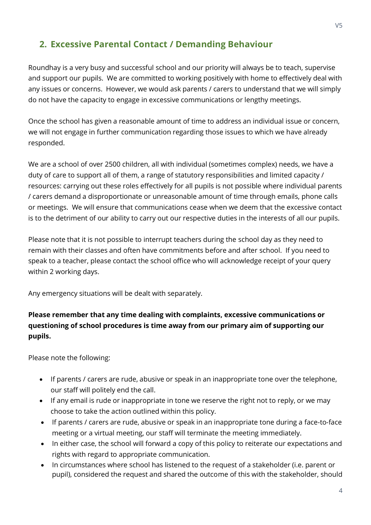# **2. Excessive Parental Contact / Demanding Behaviour**

Roundhay is a very busy and successful school and our priority will always be to teach, supervise and support our pupils. We are committed to working positively with home to effectively deal with any issues or concerns. However, we would ask parents / carers to understand that we will simply do not have the capacity to engage in excessive communications or lengthy meetings.

Once the school has given a reasonable amount of time to address an individual issue or concern, we will not engage in further communication regarding those issues to which we have already responded.

We are a school of over 2500 children, all with individual (sometimes complex) needs, we have a duty of care to support all of them, a range of statutory responsibilities and limited capacity / resources: carrying out these roles effectively for all pupils is not possible where individual parents / carers demand a disproportionate or unreasonable amount of time through emails, phone calls or meetings. We will ensure that communications cease when we deem that the excessive contact is to the detriment of our ability to carry out our respective duties in the interests of all our pupils.

Please note that it is not possible to interrupt teachers during the school day as they need to remain with their classes and often have commitments before and after school. If you need to speak to a teacher, please contact the school office who will acknowledge receipt of your query within 2 working days.

Any emergency situations will be dealt with separately.

#### **Please remember that any time dealing with complaints, excessive communications or questioning of school procedures is time away from our primary aim of supporting our pupils.**

Please note the following:

- If parents / carers are rude, abusive or speak in an inappropriate tone over the telephone, our staff will politely end the call.
- If any email is rude or inappropriate in tone we reserve the right not to reply, or we may choose to take the action outlined within this policy.
- If parents / carers are rude, abusive or speak in an inappropriate tone during a face-to-face meeting or a virtual meeting, our staff will terminate the meeting immediately.
- In either case, the school will forward a copy of this policy to reiterate our expectations and rights with regard to appropriate communication.
- In circumstances where school has listened to the request of a stakeholder (i.e. parent or pupil), considered the request and shared the outcome of this with the stakeholder, should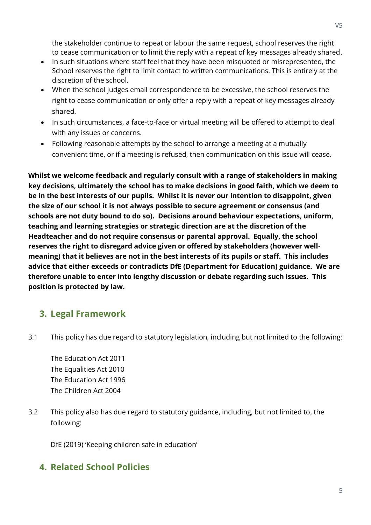the stakeholder continue to repeat or labour the same request, school reserves the right to cease communication or to limit the reply with a repeat of key messages already shared.

- In such situations where staff feel that they have been misquoted or misrepresented, the School reserves the right to limit contact to written communications. This is entirely at the discretion of the school.
- When the school judges email correspondence to be excessive, the school reserves the right to cease communication or only offer a reply with a repeat of key messages already shared.
- In such circumstances, a face-to-face or virtual meeting will be offered to attempt to deal with any issues or concerns.
- Following reasonable attempts by the school to arrange a meeting at a mutually convenient time, or if a meeting is refused, then communication on this issue will cease.

**Whilst we welcome feedback and regularly consult with a range of stakeholders in making key decisions, ultimately the school has to make decisions in good faith, which we deem to be in the best interests of our pupils. Whilst it is never our intention to disappoint, given the size of our school it is not always possible to secure agreement or consensus (and schools are not duty bound to do so). Decisions around behaviour expectations, uniform, teaching and learning strategies or strategic direction are at the discretion of the Headteacher and do not require consensus or parental approval. Equally, the school reserves the right to disregard advice given or offered by stakeholders (however wellmeaning) that it believes are not in the best interests of its pupils or staff. This includes advice that either exceeds or contradicts DfE (Department for Education) guidance. We are therefore unable to enter into lengthy discussion or debate regarding such issues. This position is protected by law.**

## **3. Legal Framework**

3.1 This policy has due regard to statutory legislation, including but not limited to the following:

The Education Act 2011 The Equalities Act 2010 The Education Act 1996 The Children Act 2004

3.2 This policy also has due regard to statutory guidance, including, but not limited to, the following:

DfE (2019) 'Keeping children safe in education'

## **4. Related School Policies**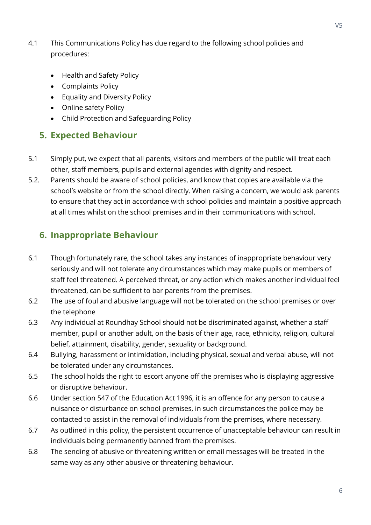- 4.1 This Communications Policy has due regard to the following school policies and procedures:
	- Health and Safety Policy
	- Complaints Policy
	- Equality and Diversity Policy
	- Online safety Policy
	- Child Protection and Safeguarding Policy

### **5. Expected Behaviour**

- 5.1 Simply put, we expect that all parents, visitors and members of the public will treat each other, staff members, pupils and external agencies with dignity and respect.
- 5.2. Parents should be aware of school policies, and know that copies are available via the school's website or from the school directly. When raising a concern, we would ask parents to ensure that they act in accordance with school policies and maintain a positive approach at all times whilst on the school premises and in their communications with school.

## **6. Inappropriate Behaviour**

- 6.1 Though fortunately rare, the school takes any instances of inappropriate behaviour very seriously and will not tolerate any circumstances which may make pupils or members of staff feel threatened. A perceived threat, or any action which makes another individual feel threatened, can be sufficient to bar parents from the premises.
- 6.2 The use of foul and abusive language will not be tolerated on the school premises or over the telephone
- 6.3 Any individual at Roundhay School should not be discriminated against, whether a staff member, pupil or another adult, on the basis of their age, race, ethnicity, religion, cultural belief, attainment, disability, gender, sexuality or background.
- 6.4 Bullying, harassment or intimidation, including physical, sexual and verbal abuse, will not be tolerated under any circumstances.
- 6.5 The school holds the right to escort anyone off the premises who is displaying aggressive or disruptive behaviour.
- 6.6 Under section 547 of the Education Act 1996, it is an offence for any person to cause a nuisance or disturbance on school premises, in such circumstances the police may be contacted to assist in the removal of individuals from the premises, where necessary.
- 6.7 As outlined in this policy, the persistent occurrence of unacceptable behaviour can result in individuals being permanently banned from the premises.
- 6.8 The sending of abusive or threatening written or email messages will be treated in the same way as any other abusive or threatening behaviour.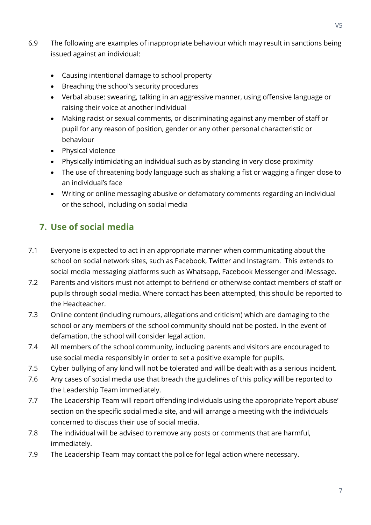- 6.9 The following are examples of inappropriate behaviour which may result in sanctions being issued against an individual:
	- Causing intentional damage to school property
	- Breaching the school's security procedures
	- Verbal abuse: swearing, talking in an aggressive manner, using offensive language or raising their voice at another individual
	- Making racist or sexual comments, or discriminating against any member of staff or pupil for any reason of position, gender or any other personal characteristic or behaviour
	- Physical violence
	- Physically intimidating an individual such as by standing in very close proximity
	- The use of threatening body language such as shaking a fist or wagging a finger close to an individual's face
	- Writing or online messaging abusive or defamatory comments regarding an individual or the school, including on social media

# **7. Use of social media**

- 7.1 Everyone is expected to act in an appropriate manner when communicating about the school on social network sites, such as Facebook, Twitter and Instagram. This extends to social media messaging platforms such as Whatsapp, Facebook Messenger and iMessage.
- 7.2 Parents and visitors must not attempt to befriend or otherwise contact members of staff or pupils through social media. Where contact has been attempted, this should be reported to the Headteacher.
- 7.3 Online content (including rumours, allegations and criticism) which are damaging to the school or any members of the school community should not be posted. In the event of defamation, the school will consider legal action.
- 7.4 All members of the school community, including parents and visitors are encouraged to use social media responsibly in order to set a positive example for pupils.
- 7.5 Cyber bullying of any kind will not be tolerated and will be dealt with as a serious incident.
- 7.6 Any cases of social media use that breach the guidelines of this policy will be reported to the Leadership Team immediately.
- 7.7 The Leadership Team will report offending individuals using the appropriate 'report abuse' section on the specific social media site, and will arrange a meeting with the individuals concerned to discuss their use of social media.
- 7.8 The individual will be advised to remove any posts or comments that are harmful, immediately.
- 7.9 The Leadership Team may contact the police for legal action where necessary.